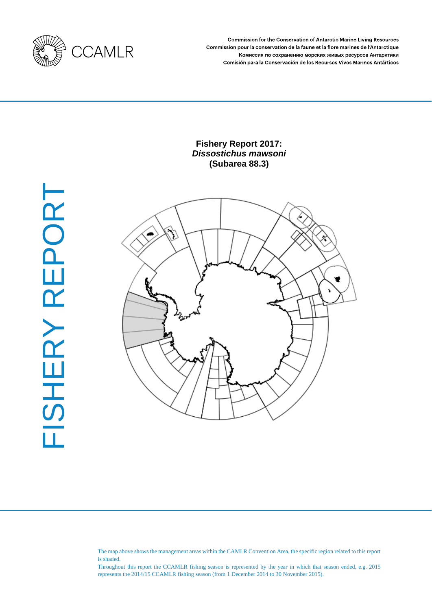

Commission for the Conservation of Antarctic Marine Living Resources Commission pour la conservation de la faune et la flore marines de l'Antarctique Комиссия по сохранению морских живых ресурсов Антарктики Comisión para la Conservación de los Recursos Vivos Marinos Antárticos

# **Fishery Report 2017:** *Dissostichus mawsoni* **(Subarea 88.3)**





The map above shows the management areas within the CAMLR Convention Area, the specific region related to this report is shaded.

Throughout this report the CCAMLR fishing season is represented by the year in which that season ended, e.g. 2015 represents the 2014/15 CCAMLR fishing season (from 1 December 2014 to 30 November 2015).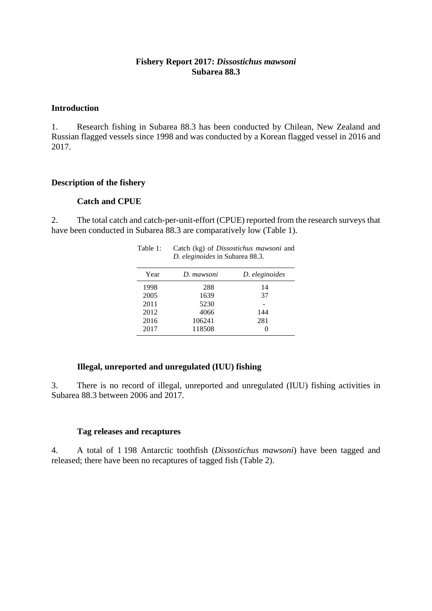## **Fishery Report 2017:** *Dissostichus mawsoni* **Subarea 88.3**

## **Introduction**

1. Research fishing in Subarea 88.3 has been conducted by Chilean, New Zealand and Russian flagged vessels since 1998 and was conducted by a Korean flagged vessel in 2016 and 2017.

### **Description of the fishery**

#### **Catch and CPUE**

2. The total catch and catch-per-unit-effort (CPUE) reported from the research surveys that have been conducted in Subarea 88.3 are comparatively low (Table 1).

| D. eleginoides in Subarea 88.3. |            |                |  |  |
|---------------------------------|------------|----------------|--|--|
| Year                            | D. mawsoni | D. eleginoides |  |  |
| 1998                            | 288        | 14             |  |  |
| 2005                            | 1639       | 37             |  |  |
| 2011                            | 5230       |                |  |  |
| 2012                            | 4066       | 144            |  |  |
| 2016                            | 106241     | 281            |  |  |
| 2017                            | 118508     |                |  |  |

# Table 1: Catch (kg) of *Dissostichus mawsoni* and

### **Illegal, unreported and unregulated (IUU) fishing**

3. There is no record of illegal, unreported and unregulated (IUU) fishing activities in Subarea 88.3 between 2006 and 2017.

#### **Tag releases and recaptures**

4. A total of 1 198 Antarctic toothfish (*Dissostichus mawsoni*) have been tagged and released; there have been no recaptures of tagged fish (Table 2).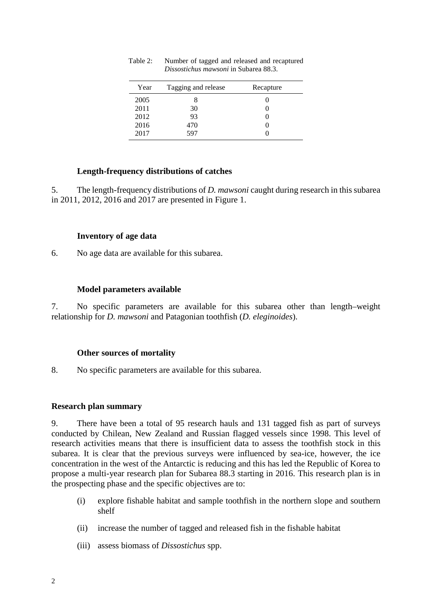| Year | Tagging and release | Recapture |
|------|---------------------|-----------|
| 2005 |                     |           |
| 2011 | 30                  |           |
| 2012 | 93                  |           |
| 2016 | 470                 |           |
| 2017 | 597                 |           |

Table 2: Number of tagged and released and recaptured *Dissostichus mawsoni* in Subarea 88.3.

## **Length-frequency distributions of catches**

5. The length-frequency distributions of *D. mawsoni* caught during research in this subarea in 2011, 2012, 2016 and 2017 are presented in Figure 1.

# **Inventory of age data**

6. No age data are available for this subarea.

# **Model parameters available**

7. No specific parameters are available for this subarea other than length–weight relationship for *D. mawsoni* and Patagonian toothfish (*D. eleginoides*).

# **Other sources of mortality**

8. No specific parameters are available for this subarea.

## **Research plan summary**

9. There have been a total of 95 research hauls and 131 tagged fish as part of surveys conducted by Chilean, New Zealand and Russian flagged vessels since 1998. This level of research activities means that there is insufficient data to assess the toothfish stock in this subarea. It is clear that the previous surveys were influenced by sea-ice, however, the ice concentration in the west of the Antarctic is reducing and this has led the Republic of Korea to propose a multi-year research plan for Subarea 88.3 starting in 2016. This research plan is in the prospecting phase and the specific objectives are to:

- (i) explore fishable habitat and sample toothfish in the northern slope and southern shelf
- (ii) increase the number of tagged and released fish in the fishable habitat
- (iii) assess biomass of *Dissostichus* spp.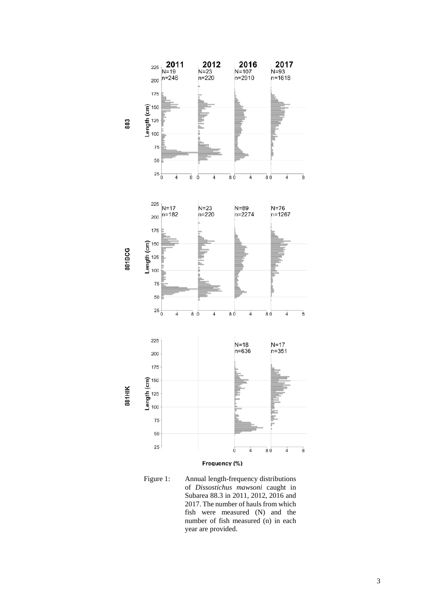

Figure 1: Annual length-frequency distributions of *Dissostichus mawsoni* caught in Subarea 88.3 in 2011, 2012, 2016 and 2017. The number of hauls from which fish were measured (N) and the number of fish measured (n) in each year are provided.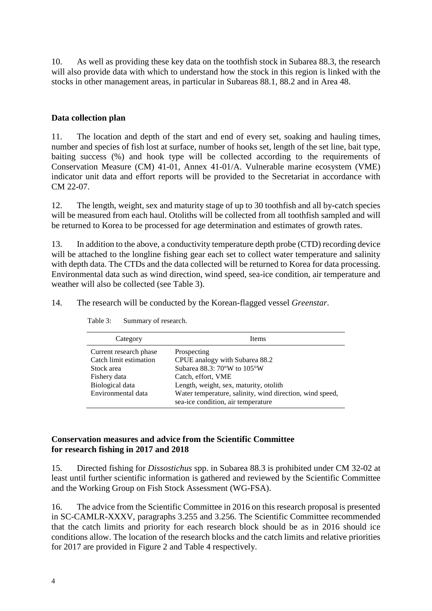10. As well as providing these key data on the toothfish stock in Subarea 88.3, the research will also provide data with which to understand how the stock in this region is linked with the stocks in other management areas, in particular in Subareas 88.1, 88.2 and in Area 48.

# **Data collection plan**

11. The location and depth of the start and end of every set, soaking and hauling times, number and species of fish lost at surface, number of hooks set, length of the set line, bait type, baiting success (%) and hook type will be collected according to the requirements of Conservation Measure (CM) 41-01, Annex 41-01/A. Vulnerable marine ecosystem (VME) indicator unit data and effort reports will be provided to the Secretariat in accordance with CM 22-07.

12. The length, weight, sex and maturity stage of up to 30 toothfish and all by-catch species will be measured from each haul. Otoliths will be collected from all toothfish sampled and will be returned to Korea to be processed for age determination and estimates of growth rates.

13. In addition to the above, a conductivity temperature depth probe (CTD) recording device will be attached to the longline fishing gear each set to collect water temperature and salinity with depth data. The CTDs and the data collected will be returned to Korea for data processing. Environmental data such as wind direction, wind speed, sea-ice condition, air temperature and weather will also be collected (see Table 3).

14. The research will be conducted by the Korean-flagged vessel *Greenstar*.

| Category               | <b>Items</b>                                                                                   |
|------------------------|------------------------------------------------------------------------------------------------|
| Current research phase | Prospecting                                                                                    |
| Catch limit estimation | CPUE analogy with Subarea 88.2                                                                 |
| Stock area             | Subarea 88.3: 70°W to 105°W                                                                    |
| Fishery data           | Catch, effort, VME                                                                             |
| Biological data        | Length, weight, sex, maturity, otolith                                                         |
| Environmental data     | Water temperature, salinity, wind direction, wind speed,<br>sea-ice condition, air temperature |

Table 3: Summary of research.

# **Conservation measures and advice from the Scientific Committee for research fishing in 2017 and 2018**

15. Directed fishing for *Dissostichus* spp. in Subarea 88.3 is prohibited under CM 32-02 at least until further scientific information is gathered and reviewed by the Scientific Committee and the Working Group on Fish Stock Assessment (WG-FSA).

16. The advice from the Scientific Committee in 2016 on this research proposal is presented in SC-CAMLR-XXXV, paragraphs 3.255 and 3.256. The Scientific Committee recommended that the catch limits and priority for each research block should be as in 2016 should ice conditions allow. The location of the research blocks and the catch limits and relative priorities for 2017 are provided in Figure 2 and Table 4 respectively.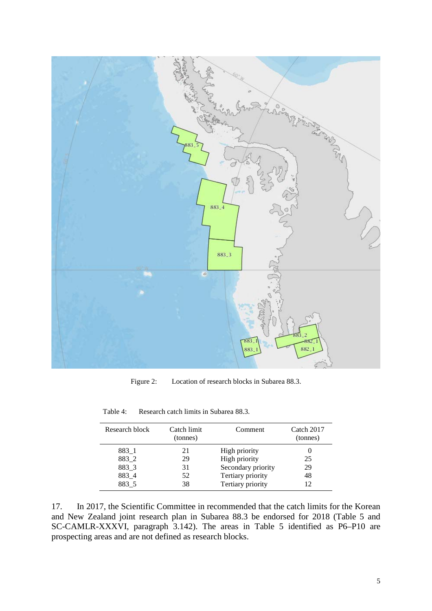

Figure 2: Location of research blocks in Subarea 88.3.

| Research block | Catch limit<br>(tonnes) | Comment            | Catch 2017<br>(tonnes) |
|----------------|-------------------------|--------------------|------------------------|
| 883 1          | 21                      | High priority      |                        |
| 883_2          | 29                      | High priority      | 25                     |
| 883 3          | 31                      | Secondary priority | 29                     |
| 883 4          | 52                      | Tertiary priority  | 48                     |
| 883 5          | 38                      | Tertiary priority  | 12                     |

Table 4: Research catch limits in Subarea 88.3.

17. In 2017, the Scientific Committee in recommended that the catch limits for the Korean and New Zealand joint research plan in Subarea 88.3 be endorsed for 2018 (Table 5 and SC-CAMLR-XXXVI, paragraph 3.142). The areas in Table 5 identified as P6–P10 are prospecting areas and are not defined as research blocks.